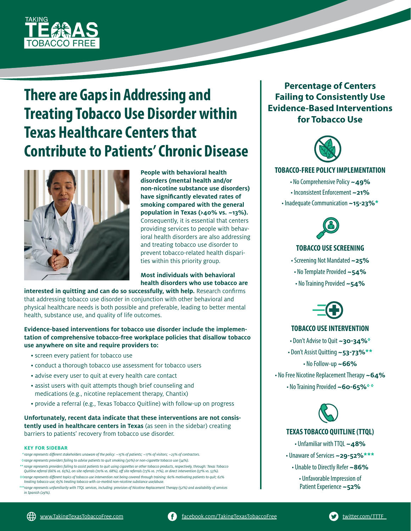

# **There are Gaps in Addressing and Treating Tobacco Use Disorder within Texas Healthcare Centers that Contribute to Patients' Chronic Disease**



**People with behavioral health disorders (mental health and/or non-nicotine substance use disorders) have significantly elevated rates of smoking compared with the general population in Texas (>40% vs. ~13%).**  Consequently, it is essential that centers providing services to people with behavioral health disorders are also addressing and treating tobacco use disorder to prevent tobacco-related health disparities within this priority group.

**Most individuals with behavioral health disorders who use tobacco are** 

**interested in quitting and can do so successfully, with help.** Research confirms that addressing tobacco use disorder in conjunction with other behavioral and physical healthcare needs is both possible and preferable, leading to better mental health, substance use, and quality of life outcomes.

**Evidence-based interventions for tobacco use disorder include the implementation of comprehensive tobacco-free workplace policies that disallow tobacco use anywhere on site and require providers to:**

- screen every patient for tobacco use
- conduct a thorough tobacco use assessment for tobacco users
- advise every user to quit at every health care contact
- assist users with quit attempts though brief counseling and medications (e.g., nicotine replacement therapy, Chantix)
- provide a referral (e.g., Texas Tobacco Quitline) with follow-up on progress

**Unfortunately, recent data indicate that these interventions are not consistently used in healthcare centers in Texas** (as seen in the sidebar) creating barriers to patients' recovery from tobacco use disorder.

#### **KEY FOR SIDEBAR**

 *\* range represents different stakeholders unaware of the policy: ~15% of patients; ~17% of visitors; ~23% of contractors. ◊ range represents providers failing to advise patients to quit smoking (30%) or non-cigarette tobacco use (34%).*

- *\*\* range represents providers failing to assist patients to quit using cigarettes or other tobacco products, respectively, through: Texas Tobacco Quitline referral (66% vs. 65%), on-site referrals (70% vs. 68%), off site referrals (73% vs. 71%), or direct intervention (57% vs. 53%).*
- *◊◊range represents different topics of tobacco use intervention not being covered through training: 60% motivating patients to quit; 62% treating tobacco use; 65% treating tobacco with co-morbid non-nicotine substance use/abuse.*

 *\*\*\*range represents unfamiliarity with TTQL services, including: provision of Nicotine Replacement Therapy (52%) and availability of services in Spanish (29%).*

**Percentage of Centers Failing to Consistently Use Evidence-Based Interventions for Tobacco Use**



#### **TOBACCO-FREE POLICY IMPLEMENTATION**

• No Comprehensive Policy **~49%** • Inconsistent Enforcement **~21%** • Inadequate Communication **~15-23%\***



### **TOBACCO USE SCREENING**

- Screening Not Mandated **~25%**
- No Template Provided **~54%**
- No Training Provided **~54%**



### **TOBACCO USE INTERVENTION**

- Don't Advise to Quit **~30-34%◊**
- Don't Assist Quitting **~53-73%\*\***

• No Follow-up **~66%**

• No Free Nicotine Replacement Therapy **~64%**

• No Training Provided **~60-65%◊ ◊**



### **TEXAS TOBACCO QUITLINE (TTQL)**

- Unfamiliar with TTQL **~48%**
- Unaware of Services **~29-52%\*\*\***
	- Unable to Directly Refer **~86%**
		- Unfavorable Impression of Patient Experience **~52%**